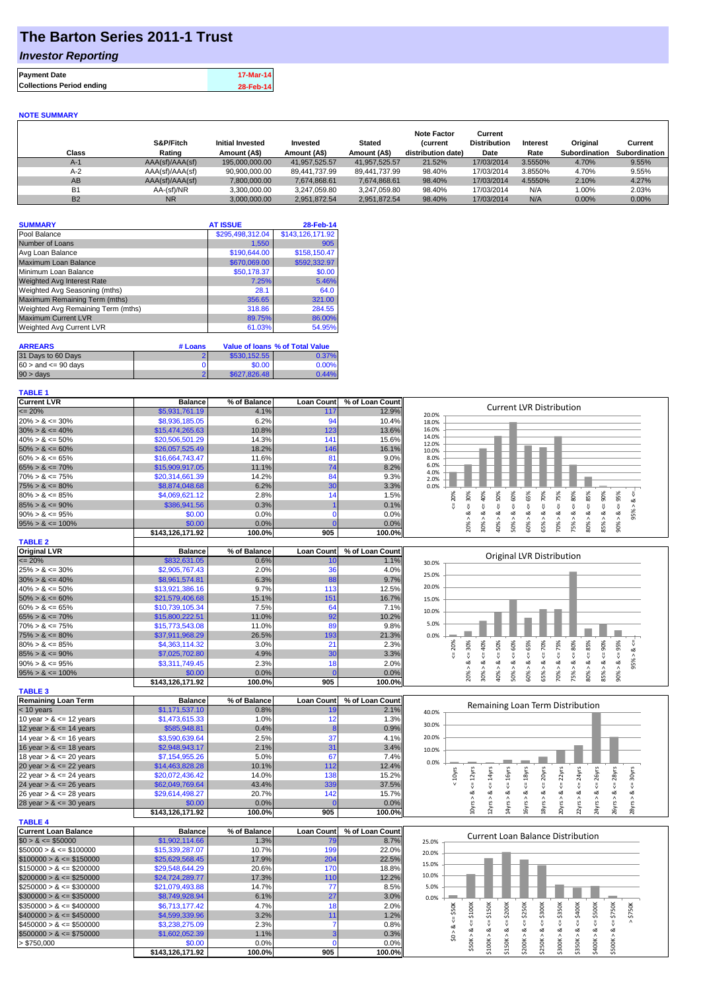## **The Barton Series 2011-1 Trust**

### *Investor Reporting*

| <b>Payment Date</b>              | 17-Mar-14 |
|----------------------------------|-----------|
| <b>Collections Period ending</b> | 28-Feb-14 |

#### **NOTE SUMMARY**

| Class     | S&P/Fitch<br>Rating | Initial Invested<br>Amount (A\$) | Invested<br>Amount (A\$) | <b>Stated</b><br>Amount (A\$) | <b>Note Factor</b><br>(current<br>distribution date) | Current<br><b>Distribution</b><br>Date | Interest<br>Rate | Original<br>Subordination | Current<br>Subordination |
|-----------|---------------------|----------------------------------|--------------------------|-------------------------------|------------------------------------------------------|----------------------------------------|------------------|---------------------------|--------------------------|
| $A-1$     | AAA(sf)/AAA(sf)     | 195,000,000,00                   | 41.957.525.57            | 41.957.525.57                 | 21.52%                                               | 17/03/2014                             | 3.5550%          | 4.70%                     | 9.55%                    |
| $A-2$     | AAA(sf)/AAA(sf)     | 90,900,000.00                    | 89,441,737.99            | 89.441.737.99                 | 98.40%                                               | 17/03/2014                             | 3.8550%          | 4.70%                     | 9.55%                    |
| AB        | AAA(sf)/AAA(sf)     | 7.800.000.00                     | 7.674.868.61             | 7.674.868.61                  | 98.40%                                               | 17/03/2014                             | 4.5550%          | 2.10%                     | 4.27%                    |
| <b>B1</b> | AA-(sf)/NR          | 3.300.000.00                     | 3.247.059.80             | 3.247.059.80                  | 98.40%                                               | 17/03/2014                             | N/A              | 1.00%                     | 2.03%                    |
| <b>B2</b> | <b>NR</b>           | 3.000.000.00                     | 2.951.872.54             | 2.951.872.54                  | 98.40%                                               | 17/03/2014                             | N/A              | $0.00\%$                  | $0.00\%$                 |

| <b>SUMMARY</b>                     | <b>AT ISSUE</b>  | 28-Feb-14        |
|------------------------------------|------------------|------------------|
| Pool Balance                       | \$295,498,312.04 | \$143,126,171.92 |
| Number of Loans                    | 1,550            | 905              |
| Avg Loan Balance                   | \$190,644.00     | \$158,150.47     |
| Maximum Loan Balance               | \$670,069.00     | \$592,332.97     |
| Minimum Loan Balance               | \$50,178.37      | \$0.00           |
| <b>Weighted Avg Interest Rate</b>  | 7.25%            | 5.46%            |
| Weighted Avg Seasoning (mths)      | 28.1             | 64.0             |
| Maximum Remaining Term (mths)      | 356.65           | 321.00           |
| Weighted Avg Remaining Term (mths) | 318.86           | 284.55           |
| <b>Maximum Current LVR</b>         | 89.75%           | 86.00%           |
| Weighted Avg Current LVR           | 61.03%           | 54.95%           |

| <b>ARREARS</b>            | # Loans |              | Value of Ioans % of Total Value |
|---------------------------|---------|--------------|---------------------------------|
| 31 Days to 60 Days        |         | \$530.152.55 | 0.37%                           |
| $60 >$ and $\leq 90$ days |         | \$0.00       | 0.00%                           |
| $90 > \text{days}$        |         | \$627,826,48 | 0.44%                           |

#### **TABLE 1**

| <b>Current LVR</b>                                                                                                                                                                                           | <b>Balance</b>   | % of Balance | <b>Loan Count</b>    | % of Loan Count | <b>Current LVR Distribution</b>                                                                                                                                                                                                        |
|--------------------------------------------------------------------------------------------------------------------------------------------------------------------------------------------------------------|------------------|--------------|----------------------|-----------------|----------------------------------------------------------------------------------------------------------------------------------------------------------------------------------------------------------------------------------------|
| $= 20%$                                                                                                                                                                                                      | \$5,931,761.19   | 4.1%         | 117                  | 12.9%           | 20.0%                                                                                                                                                                                                                                  |
| $20\% > 8 \le 30\%$                                                                                                                                                                                          | \$8,936,185.05   | 6.2%         | 94                   | 10.4%           | 18.0%                                                                                                                                                                                                                                  |
| $30\% > 8 \le 40\%$                                                                                                                                                                                          | \$15,474,265.63  | 10.8%        | 123                  | 13.6%           | 16.0%                                                                                                                                                                                                                                  |
| $40\% > 8 \le 50\%$                                                                                                                                                                                          | \$20,506,501.29  | 14.3%        | 141                  | 15.6%           | 14.0%                                                                                                                                                                                                                                  |
| $50\% > 8 \le 60\%$                                                                                                                                                                                          | \$26,057,525.49  | 18.2%        | 146                  | 16.1%           | 12.0%<br>10.0%                                                                                                                                                                                                                         |
| $60\% > 8 \le 65\%$                                                                                                                                                                                          | \$16,664,743.47  | 11.6%        | 81                   | 9.0%            | 8.0%                                                                                                                                                                                                                                   |
| $65\% > 8 \le 70\%$                                                                                                                                                                                          | \$15,909,917.05  | 11.1%        | 74                   | 8.2%            | 6.0%                                                                                                                                                                                                                                   |
| $70\% > 8 \le 75\%$                                                                                                                                                                                          | \$20,314,661.39  | 14.2%        | 84                   | 9.3%            | 4.0%                                                                                                                                                                                                                                   |
| $75\% > 8 \le 80\%$                                                                                                                                                                                          | \$8,874,048.68   | 6.2%         | 30                   | 3.3%            | 2.0%<br>0.0%                                                                                                                                                                                                                           |
| $80\% > 8 \le 85\%$                                                                                                                                                                                          | \$4,069,621.12   | 2.8%         | 14                   | 1.5%            | 80%<br>50%<br>60%<br>20%<br>70%                                                                                                                                                                                                        |
| $85\% > 8 \le 90\%$                                                                                                                                                                                          | \$386,941.56     | 0.3%         |                      | 0.1%            | $<=30%$<br>$<=75%$<br>$<= 85\%$<br>$8 \le 40\%$<br>$<=65%$<br>$<=90\%$<br>$< = 95%$<br>95% > 8 <<br>IJ,<br>IJ,                                                                                                                         |
| $90\% > 8 \le 95\%$                                                                                                                                                                                          | \$0.00           | 0.0%         | <b>C</b>             | 0.0%            | $<=$<br>Ŷ,<br>ૐ<br>$\dot{\infty}$<br>ઌ<br>ઌ                                                                                                                                                                                            |
| $95\% > 8 \le 100\%$                                                                                                                                                                                         | \$0.00           | 0.0%         | $\sqrt{ }$           | 0.0%            | $90\% > 80$                                                                                                                                                                                                                            |
|                                                                                                                                                                                                              | \$143,126,171.92 | 100.0%       | 905                  | 100.0%          | 20%<br>80%<br>30% ><br>40% ><br>50%<br>60% ><br>65% ><br>70% ><br>75%<br>85% >                                                                                                                                                         |
|                                                                                                                                                                                                              |                  |              |                      |                 |                                                                                                                                                                                                                                        |
| <b>TABLE 2</b>                                                                                                                                                                                               |                  |              |                      |                 |                                                                                                                                                                                                                                        |
| Original LVR                                                                                                                                                                                                 | <b>Balance</b>   | % of Balance | <b>Loan Count</b>    | % of Loan Count | Original LVR Distribution                                                                                                                                                                                                              |
| $\epsilon = 20\%$                                                                                                                                                                                            | \$832,631.05     | 0.6%         | 10                   | 1.1%            | 30.0%                                                                                                                                                                                                                                  |
| $25\% > 8 \le 30\%$                                                                                                                                                                                          | \$2,905,767.43   | 2.0%         | 36                   | 4.0%            | 25.0%                                                                                                                                                                                                                                  |
| $30\% > 8 \le 40\%$                                                                                                                                                                                          | \$8,961,574.81   | 6.3%         | 88                   | 9.7%            |                                                                                                                                                                                                                                        |
| $40\% > 8 \le 50\%$                                                                                                                                                                                          | \$13,921,386.16  | 9.7%         | 113                  | 12.5%           | 20.0%                                                                                                                                                                                                                                  |
| $50\% > 8 \le 60\%$                                                                                                                                                                                          | \$21,579,406.68  | 15.1%        | 151                  | 16.7%           | 15.0%                                                                                                                                                                                                                                  |
| $60\% > 8 \le 65\%$                                                                                                                                                                                          | \$10,739,105.34  | 7.5%         | 64                   | 7.1%            | 10.0%                                                                                                                                                                                                                                  |
| $65\% > 8 \le 70\%$                                                                                                                                                                                          | \$15,800,222.51  | 11.0%        | 92                   | 10.2%           |                                                                                                                                                                                                                                        |
| $70\% > 8 \le 75\%$                                                                                                                                                                                          | \$15,773,543.08  | 11.0%        | 89                   | 9.8%            | 5.0%                                                                                                                                                                                                                                   |
| $75\% > 8 \le 80\%$                                                                                                                                                                                          | \$37,911,968.29  | 26.5%        | 193                  | 21.3%           | 0.0%                                                                                                                                                                                                                                   |
| $80\% > 8 \le 85\%$                                                                                                                                                                                          | \$4,363,114.32   | 3.0%         | 21                   | 2.3%            | $<=65%$<br>$<=75%$<br>80%<br>$&\texttt{<=85\%}$<br>$<=90\%$<br>$<=30%$<br>50%<br>60%<br>$<=70%$<br>20%                                                                                                                                 |
| $85\% > 8 \le 90\%$                                                                                                                                                                                          | \$7,025,702.80   | 4.9%         | 30                   | 3.3%            | $<=40\%$<br>₹                                                                                                                                                                                                                          |
| $90\% > 8 \le 95\%$                                                                                                                                                                                          | \$3,311,749.45   | 2.3%         | 18                   | 2.0%            | $90\% > 8 \le 95\%$<br>$95% > 8 <=$<br>$\<=$<br>$\<=$<br>ಷ                                                                                                                                                                             |
| $95\% > 8 \le 100\%$                                                                                                                                                                                         | \$0.00           | 0.0%         | $\mathbf{0}$         | 0.0%            | 80%<br>20%<br>30%<br>40% ><br>60% ><br>70% ><br>75%<br>85%<br>50% ><br>65% >                                                                                                                                                           |
|                                                                                                                                                                                                              | \$143,126,171.92 | 100.0%       | 905                  | 100.0%          |                                                                                                                                                                                                                                        |
| <b>TABLE 3</b>                                                                                                                                                                                               |                  |              |                      |                 |                                                                                                                                                                                                                                        |
| <b>Remaining Loan Term</b>                                                                                                                                                                                   | <b>Balance</b>   | % of Balance | <b>Loan Count</b>    | % of Loan Count |                                                                                                                                                                                                                                        |
| $<$ 10 years                                                                                                                                                                                                 | \$1,171,537.10   | 0.8%         | 19                   | 2.1%            | Remaining Loan Term Distribution<br>40.0%                                                                                                                                                                                              |
| 10 year $> 8 \le 12$ years                                                                                                                                                                                   | \$1,473,615.33   | 1.0%         | 12                   | 1.3%            |                                                                                                                                                                                                                                        |
| 12 year $> 8 \le 14$ years                                                                                                                                                                                   | \$585,948.81     | 0.4%         |                      | 0.9%            | 30.0%                                                                                                                                                                                                                                  |
| 14 year $> 8 \le 16$ years                                                                                                                                                                                   | \$3,590,639.64   | 2.5%         | 37                   | 4.1%            | 20.0%                                                                                                                                                                                                                                  |
| 16 year $> 8 \le 18$ years                                                                                                                                                                                   | \$2,948,943.17   | 2.1%         | 31                   | 3.4%            |                                                                                                                                                                                                                                        |
| 18 year $> 8 \le 20$ years                                                                                                                                                                                   | \$7,154,955.26   | 5.0%         | 67                   | 7.4%            | 10.0%                                                                                                                                                                                                                                  |
| 20 year $> 8 \le 22$ years                                                                                                                                                                                   | \$14,463,828.28  | 10.1%        | 112                  | 12.4%           | 0.0%                                                                                                                                                                                                                                   |
| 22 year $> 8 \le 24$ years                                                                                                                                                                                   | \$20,072,436.42  | 14.0%        | 138                  | 15.2%           | $< 10$ yrs                                                                                                                                                                                                                             |
| 24 year $> 8 \le 26$ years                                                                                                                                                                                   | \$62,049,769.64  | 43.4%        | 339                  | 37.5%           |                                                                                                                                                                                                                                        |
|                                                                                                                                                                                                              |                  |              |                      |                 |                                                                                                                                                                                                                                        |
| 26 year $> 8 \le 28$ years                                                                                                                                                                                   | \$29,614,498.27  | 20.7%        | 142<br>$\mathcal{C}$ | 15.7%           |                                                                                                                                                                                                                                        |
| 28 year $> 8 \le 30$ years                                                                                                                                                                                   | \$0.00           | 0.0%         |                      | 0.0%            | $24yrs > 8 <= 26yrs$<br>$8yrs > 8 <= 20yrs$<br>$20yrs > 8c = 22yrs$<br>$22yrs > 8 <= 24yrs$<br>$26yrs > 8 <= 28yrs$<br>$28yrs > 8 \leq 30yrs$<br>$10yrs > 8c = 12yrs$<br>$12yrs > 8c = 14yrs$<br>4yrs > 8 < 16yrs<br>16yrs > 8 < 18yrs |
| <b>TABLE 4</b>                                                                                                                                                                                               |                  |              |                      |                 |                                                                                                                                                                                                                                        |
|                                                                                                                                                                                                              | \$143,126,171.92 | 100.0%       | 905                  | 100.0%          |                                                                                                                                                                                                                                        |
|                                                                                                                                                                                                              |                  |              |                      |                 |                                                                                                                                                                                                                                        |
|                                                                                                                                                                                                              | <b>Balance</b>   | % of Balance | <b>Loan Count</b>    | % of Loan Count |                                                                                                                                                                                                                                        |
| <b>Current Loan Balance</b><br>$$0 > 8 \leq $50000$                                                                                                                                                          | \$1,902,114.66   | 1.3%         | <b>79</b>            | 8.7%            | <b>Current Loan Balance Distribution</b><br>25.0%                                                                                                                                                                                      |
|                                                                                                                                                                                                              | \$15,339,287.07  | 10.7%        | 199                  | 22.0%           | 20.0%                                                                                                                                                                                                                                  |
| $$50000 > 8 \le $100000$<br>$$100000 > 8 \leq $150000$                                                                                                                                                       | \$25,629,568.45  | 17.9%        | 204                  | 22.5%           |                                                                                                                                                                                                                                        |
|                                                                                                                                                                                                              | \$29,548,644.29  | 20.6%        | 170                  | 18.8%           | 15.0%                                                                                                                                                                                                                                  |
|                                                                                                                                                                                                              | \$24,724,289.77  | 17.3%        | 110                  | 12.2%           | 10.0%                                                                                                                                                                                                                                  |
|                                                                                                                                                                                                              | \$21,079,493.88  | 14.7%        | 77                   | 8.5%            | 5.0%                                                                                                                                                                                                                                   |
|                                                                                                                                                                                                              | \$8,749,928.94   | 6.1%         | 27                   | 3.0%            | 0.0%                                                                                                                                                                                                                                   |
|                                                                                                                                                                                                              | \$6,713,177.42   | 4.7%         | 18                   | 2.0%            |                                                                                                                                                                                                                                        |
| $$400000 > 8 \leq $450000$                                                                                                                                                                                   | \$4,599,339.96   | 3.2%         | 11                   | 1.2%            | \$250K<br>\$300K<br>\$100K<br>\$150K<br>\$400K<br>\$750K                                                                                                                                                                               |
|                                                                                                                                                                                                              | \$3,238,275.09   | 2.3%         | $\overline{7}$       | 0.8%            | \$200K<br>\$500K<br>$\le$ \$50K<br>$\stackrel{II}{\vee}$<br>V                                                                                                                                                                          |
| $$150000 > 8 \le $200000$<br>$$200000 > 8 \leq $250000$<br>$$250000 > 8 \leq $300000$<br>$$300000 > 8 \leq $350000$<br>$$350000 > 8 \leq $400000$<br>$$450000 > 8 \le $500000$<br>$$500000 > 8 \leq $750000$ | \$1,602,052.39   | 1.1%         | 3                    | 0.3%            |                                                                                                                                                                                                                                        |
| > \$750,000                                                                                                                                                                                                  | \$0.00           | 0.0%         | £                    | 0.0%            | \$0 > 8                                                                                                                                                                                                                                |
|                                                                                                                                                                                                              | \$143,126,171.92 | 100.0%       | 905                  | 100.0%          | $$300K > 8 \leq S350K$<br>$$500K > 8 <= $750K$<br>$$50K > 8 <=$<br>$$150K > 8 < =$<br>$$200K > 8 <=$<br>\$250K > 8 <<br>\$100K > 8 <<br>\$350K > 8<br>\$400K > 8                                                                       |